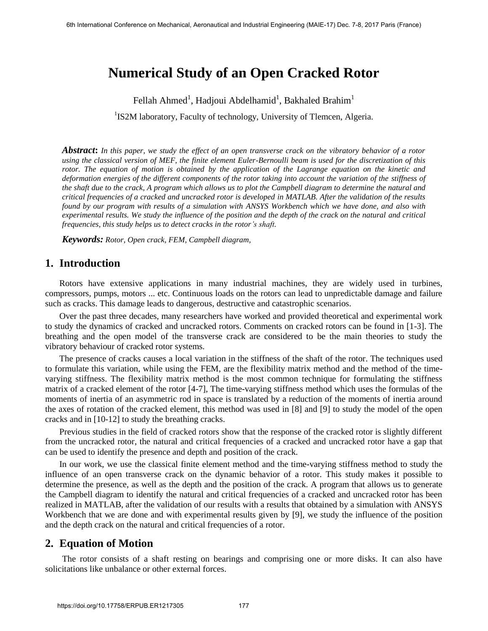# **Numerical Study of an Open Cracked Rotor**

Fellah Ahmed<sup>1</sup>, Hadjoui Abdelhamid<sup>1</sup>, Bakhaled Brahim<sup>1</sup>

<sup>1</sup>IS2M laboratory, Faculty of technology, University of Tlemcen, Algeria.

*Abstract***:** *In this paper, we study the effect of an open transverse crack on the vibratory behavior of a rotor using the classical version of MEF, the finite element Euler-Bernoulli beam is used for the discretization of this rotor. The equation of motion is obtained by the application of the Lagrange equation on the kinetic and*  deformation energies of the different components of the rotor taking into account the variation of the stiffness of *the shaft due to the crack, A program which allows us to plot the Campbell diagram to determine the natural and critical frequencies of a cracked and uncracked rotor is developed in MATLAB. After the validation of the results found by our program with results of a simulation with ANSYS Workbench which we have done, and also with experimental results. We study the influence of the position and the depth of the crack on the natural and critical frequencies, this study helps us to detect cracks in the rotor's shaft.* 

*Keywords: Rotor, Open crack, FEM, Campbell diagram,* 

# **1. Introduction**

Rotors have extensive applications in many industrial machines, they are widely used in turbines, compressors, pumps, motors ... etc. Continuous loads on the rotors can lead to unpredictable damage and failure such as cracks. This damage leads to dangerous, destructive and catastrophic scenarios.

Over the past three decades, many researchers have worked and provided theoretical and experimental work to study the dynamics of cracked and uncracked rotors. Comments on cracked rotors can be found in [1-3]. The breathing and the open model of the transverse crack are considered to be the main theories to study the vibratory behaviour of cracked rotor systems.

The presence of cracks causes a local variation in the stiffness of the shaft of the rotor. The techniques used to formulate this variation, while using the FEM, are the flexibility matrix method and the method of the timevarying stiffness. The flexibility matrix method is the most common technique for formulating the stiffness matrix of a cracked element of the rotor [4-7], The time-varying stiffness method which uses the formulas of the moments of inertia of an asymmetric rod in space is translated by a reduction of the moments of inertia around the axes of rotation of the cracked element, this method was used in [8] and [9] to study the model of the open cracks and in [10-12] to study the breathing cracks.

Previous studies in the field of cracked rotors show that the response of the cracked rotor is slightly different from the uncracked rotor, the natural and critical frequencies of a cracked and uncracked rotor have a gap that can be used to identify the presence and depth and position of the crack.

In our work, we use the classical finite element method and the time-varying stiffness method to study the influence of an open transverse crack on the dynamic behavior of a rotor. This study makes it possible to determine the presence, as well as the depth and the position of the crack. A program that allows us to generate the Campbell diagram to identify the natural and critical frequencies of a cracked and uncracked rotor has been realized in MATLAB, after the validation of our results with a results that obtained by a simulation with ANSYS Workbench that we are done and with experimental results given by [9], we study the influence of the position and the depth crack on the natural and critical frequencies of a rotor.

### **2. Equation of Motion**

The rotor consists of a shaft resting on bearings and comprising one or more disks. It can also have solicitations like unbalance or other external forces.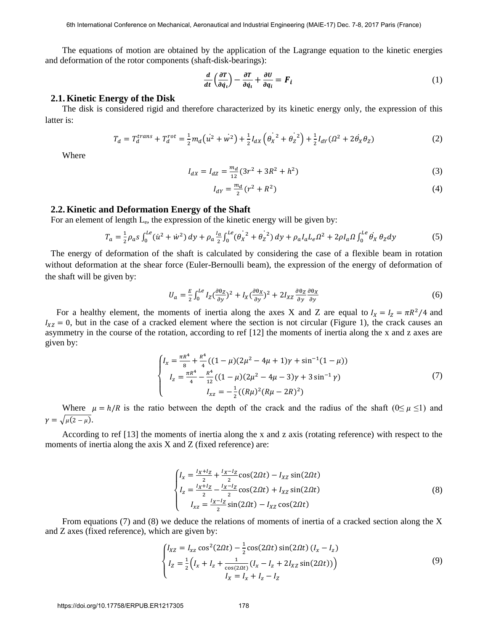The equations of motion are obtained by the application of the Lagrange equation to the kinetic energies and deformation of the rotor components (shaft-disk-bearings):

$$
\frac{d}{dt}\left(\frac{\partial T}{\partial q_i}\right) - \frac{\partial T}{\partial q_i} + \frac{\partial U}{\partial q_i} = F_i
$$
\n(1)

#### **2.1. Kinetic Energy of the Disk**

The disk is considered rigid and therefore characterized by its kinetic energy only, the expression of this latter is:

$$
T_d = T_d^{trans} + T_d^{rot} = \frac{1}{2} m_d (u^2 + w^2) + \frac{1}{2} I_{dX} \left( \dot{\theta_X}^2 + \dot{\theta_Z}^2 \right) + \frac{1}{2} I_{dY} (\Omega^2 + 2 \dot{\theta_X} \theta_Z)
$$
 (2)

Where

$$
I_{dX} = I_{dZ} = \frac{m_d}{12} (3r^2 + 3R^2 + h^2)
$$
 (3)

$$
I_{dY} = \frac{m_d}{2} (r^2 + R^2)
$$
 (4)

#### **2.2. Kinetic and Deformation Energy of the Shaft**

For an element of length L<sub>e</sub>, the expression of the kinetic energy will be given by:

$$
T_a = \frac{1}{2}\rho_a s \int_0^{Le} (\dot{u}^2 + \dot{w}^2) dy + \rho_a \frac{l_a}{2} \int_0^{Le} (\dot{\theta_X}^2 + \dot{\theta_Z}^2) dy + \rho_a l_a L_e \Omega^2 + 2\rho l_a \Omega \int_0^{Le} \dot{\theta_X} \theta_Z dy
$$
 (5)

The energy of deformation of the shaft is calculated by considering the case of a flexible beam in rotation without deformation at the shear force (Euler-Bernoulli beam), the expression of the energy of deformation of the shaft will be given by:

$$
U_a = \frac{E}{2} \int_0^{Le} I_Z \left(\frac{\partial \theta_Z}{\partial y}\right)^2 + I_X \left(\frac{\partial \theta_X}{\partial y}\right)^2 + 2I_{XZ} \frac{\partial \theta_Z}{\partial y} \frac{\partial \theta_X}{\partial y} \tag{6}
$$

For a healthy element, the moments of inertia along the axes X and Z are equal to  $I_x = I_z = \pi R^2/4$  and  $I_{XZ} = 0$ , but in the case of a cracked element where the section is not circular (Figure 1), the crack causes an asymmetry in the course of the rotation, according to ref [12] the moments of inertia along the x and z axes are given by:

$$
\begin{cases}\nI_x = \frac{\pi R^4}{8} + \frac{R^4}{4} \left( (1 - \mu)(2\mu^2 - 4\mu + 1)\gamma + \sin^{-1}(1 - \mu) \right) \\
I_z = \frac{\pi R^4}{4} - \frac{R^4}{12} \left( (1 - \mu)(2\mu^2 - 4\mu - 3)\gamma + 3\sin^{-1}\gamma \right) \\
I_{xz} = -\frac{1}{2} \left( (R\mu)^2 (R\mu - 2R)^2 \right)\n\end{cases} (7)
$$

Where  $\mu = h/R$  is the ratio between the depth of the crack and the radius of the shaft (0≤  $\mu$  ≤1) and  $\gamma = \sqrt{\mu(2-\mu)}$ .

According to ref [13] the moments of inertia along the x and z axis (rotating reference) with respect to the moments of inertia along the axis X and Z (fixed reference) are:

$$
\begin{cases}\nI_x = \frac{I_X + I_Z}{2} + \frac{I_X - I_Z}{2}\cos(2\Omega t) - I_{XZ}\sin(2\Omega t) \\
I_z = \frac{I_X + I_Z}{2} - \frac{I_X - I_Z}{2}\cos(2\Omega t) + I_{XZ}\sin(2\Omega t) \\
I_{XZ} = \frac{I_X - I_Z}{2}\sin(2\Omega t) - I_{XZ}\cos(2\Omega t)\n\end{cases}
$$
\n(8)

From equations (7) and (8) we deduce the relations of moments of inertia of a cracked section along the X and Z axes (fixed reference), which are given by:

$$
\begin{cases}\nI_{XZ} = I_{xz} \cos^2(2\Omega t) - \frac{1}{2} \cos(2\Omega t) \sin(2\Omega t) (I_x - I_z) \\
I_Z = \frac{1}{2} \Big( I_x + I_z + \frac{1}{\cos(2\Omega t)} (I_x - I_z + 2I_{XZ} \sin(2\Omega t)) \Big) \\
I_X = I_x + I_z - I_Z\n\end{cases}
$$
\n(9)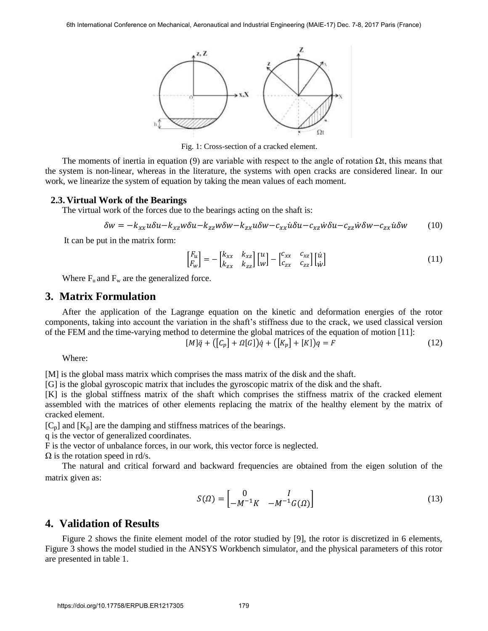

Fig. 1: Cross-section of a cracked element.

The moments of inertia in equation (9) are variable with respect to the angle of rotation  $\Omega t$ , this means that the system is non-linear, whereas in the literature, the systems with open cracks are considered linear. In our work, we linearize the system of equation by taking the mean values of each moment.

#### **2.3. Virtual Work of the Bearings**

The virtual work of the forces due to the bearings acting on the shaft is:

$$
\delta w = -k_{xx}u\delta u - k_{xz}w\delta u - k_{zz}w\delta w - k_{zx}u\delta w - c_{xx}\dot{u}\delta u - c_{xz}\dot{w}\delta u - c_{zz}\dot{w}\delta w - c_{zx}\dot{u}\delta w \tag{10}
$$

It can be put in the matrix form:

$$
\begin{bmatrix} F_u \\ F_w \end{bmatrix} = - \begin{bmatrix} k_{xx} & k_{xz} \\ k_{zx} & k_{zz} \end{bmatrix} \begin{bmatrix} u \\ w \end{bmatrix} - \begin{bmatrix} c_{xx} & c_{xz} \\ c_{zx} & c_{zz} \end{bmatrix} \begin{bmatrix} \dot{u} \\ \dot{w} \end{bmatrix}
$$
\n(11)

Where  $F_u$  and  $F_w$  are the generalized force.

### **3. Matrix Formulation**

After the application of the Lagrange equation on the kinetic and deformation energies of the rotor components, taking into account the variation in the shaft's stiffness due to the crack, we used classical version of the FEM and the time-varying method to determine the global matrices of the equation of motion [11]:

$$
[M]\ddot{q} + ([C_p] + \Omega[G])\dot{q} + ([K_p] + [K])q = F \tag{12}
$$

Where:

[M] is the global mass matrix which comprises the mass matrix of the disk and the shaft.

[G] is the global gyroscopic matrix that includes the gyroscopic matrix of the disk and the shaft.

[K] is the global stiffness matrix of the shaft which comprises the stiffness matrix of the cracked element assembled with the matrices of other elements replacing the matrix of the healthy element by the matrix of cracked element.

 $[C_p]$  and  $[K_p]$  are the damping and stiffness matrices of the bearings.

q is the vector of generalized coordinates.

F is the vector of unbalance forces, in our work, this vector force is neglected.

 $\Omega$  is the rotation speed in rd/s.

The natural and critical forward and backward frequencies are obtained from the eigen solution of the matrix given as:

$$
S(\Omega) = \begin{bmatrix} 0 & I \\ -M^{-1}K & -M^{-1}G(\Omega) \end{bmatrix}
$$
 (13)

## **4. Validation of Results**

Figure 2 shows the finite element model of the rotor studied by [9], the rotor is discretized in 6 elements, Figure 3 shows the model studied in the ANSYS Workbench simulator, and the physical parameters of this rotor are presented in table 1.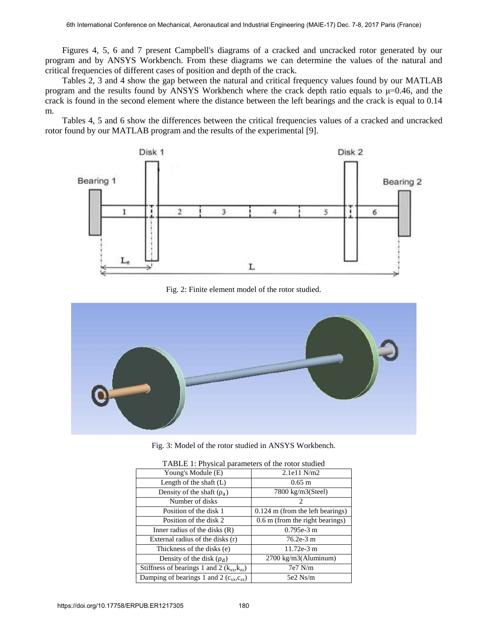Figures 4, 5, 6 and 7 present Campbell's diagrams of a cracked and uncracked rotor generated by our program and by ANSYS Workbench. From these diagrams we can determine the values of the natural and critical frequencies of different cases of position and depth of the crack.

Tables 2, 3 and 4 show the gap between the natural and critical frequency values found by our MATLAB program and the results found by ANSYS Workbench where the crack depth ratio equals to  $\mu$ =0.46, and the crack is found in the second element where the distance between the left bearings and the crack is equal to 0.14 m.

Tables 4, 5 and 6 show the differences between the critical frequencies values of a cracked and uncracked rotor found by our MATLAB program and the results of the experimental [9].



Fig. 2: Finite element model of the rotor studied.



Fig. 3: Model of the rotor studied in ANSYS Workbench.

| TABLE 1: Physical parameters of the rotor studied |                                    |  |  |  |  |  |  |  |
|---------------------------------------------------|------------------------------------|--|--|--|--|--|--|--|
| Young's Module (E)                                | 2.1e11 N/m2                        |  |  |  |  |  |  |  |
| Length of the shaft $(L)$                         | $0.65 \; \mathrm{m}$               |  |  |  |  |  |  |  |
| Density of the shaft $(\rho_a)$                   | 7800 kg/m3(Steel)                  |  |  |  |  |  |  |  |
| Number of disks                                   | $\mathcal{D}_{\mathcal{L}}$        |  |  |  |  |  |  |  |
| Position of the disk 1                            | $0.124$ m (from the left bearings) |  |  |  |  |  |  |  |
| Position of the disk 2                            | 0.6 m (from the right bearings)    |  |  |  |  |  |  |  |
| Inner radius of the disks $(R)$                   | $0.795e-3$ m                       |  |  |  |  |  |  |  |
| External radius of the disks (r)                  | 76.2e-3 m                          |  |  |  |  |  |  |  |
| Thickness of the disks (e)                        | $11.72e-3$ m                       |  |  |  |  |  |  |  |
| Density of the disk $(\rho_d)$                    | 2700 kg/m3(Aluminum)               |  |  |  |  |  |  |  |
| Stiffness of bearings 1 and 2 $(k_{xx}, k_{zz})$  | $7e7$ N/m                          |  |  |  |  |  |  |  |
| Damping of bearings 1 and 2 $(c_{xx}, c_{zz})$    | 5e2 Ns/m                           |  |  |  |  |  |  |  |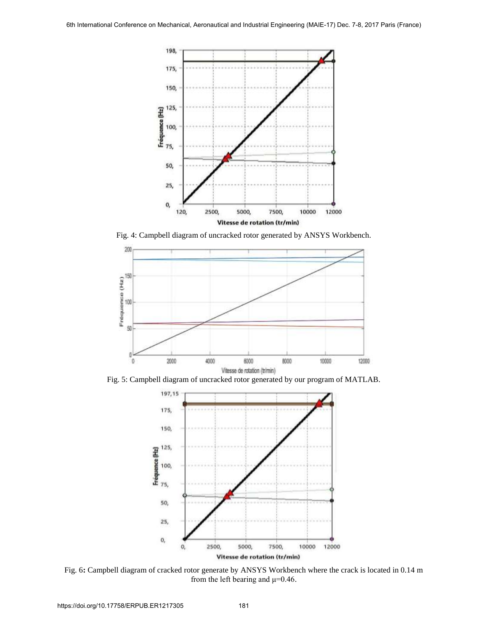

Fig. 4: Campbell diagram of uncracked rotor generated by ANSYS Workbench.



Fig. 5: Campbell diagram of uncracked rotor generated by our program of MATLAB.



Fig. 6**:** Campbell diagram of cracked rotor generate by ANSYS Workbench where the crack is located in 0.14 m from the left bearing and  $\mu$ =0.46.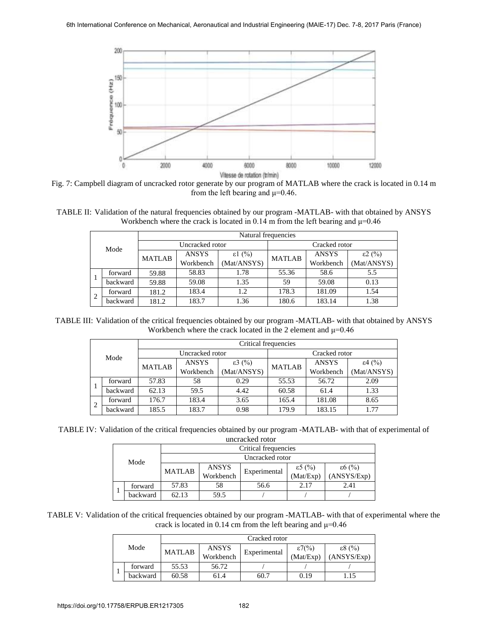

Fig. 7: Campbell diagram of uncracked rotor generate by our program of MATLAB where the crack is located in 0.14 m from the left bearing and  $\mu$ =0.46.

TABLE II: Validation of the natural frequencies obtained by our program -MATLAB- with that obtained by ANSYS Workbench where the crack is located in 0.14 m from the left bearing and  $\mu$ =0.46

|                |          | Natural frequencies |                 |                  |               |              |                  |  |  |  |  |
|----------------|----------|---------------------|-----------------|------------------|---------------|--------------|------------------|--|--|--|--|
| Mode           |          |                     | Uncracked rotor |                  | Cracked rotor |              |                  |  |  |  |  |
|                |          | <b>MATLAB</b>       | <b>ANSYS</b>    | $\epsilon$ 1 (%) | <b>MATLAB</b> | <b>ANSYS</b> | $\epsilon$ 2 (%) |  |  |  |  |
|                |          |                     | Workbench       | (Mat/ANSYS)      |               | Workbench    |                  |  |  |  |  |
|                | forward  | 59.88               | 58.83           | 1.78             | 55.36         | 58.6         | 5.5              |  |  |  |  |
|                | backward | 59.88               | 59.08           | 1.35             | 59            | 59.08        | 0.13             |  |  |  |  |
| $\overline{2}$ | forward  | 181.2               | 183.4           | 1.2              | 178.3         | 181.09       | 1.54             |  |  |  |  |
|                | backward | 181.2               | 183.7           | 1.36             | 180.6         | 183.14       | 1.38             |  |  |  |  |

TABLE III: Validation of the critical frequencies obtained by our program -MATLAB- with that obtained by ANSYS Workbench where the crack located in the 2 element and  $\mu$ =0.46

|   |          |               |                 | Critical frequencies |               |              |                  |  |  |  |  |
|---|----------|---------------|-----------------|----------------------|---------------|--------------|------------------|--|--|--|--|
|   | Mode     |               | Uncracked rotor |                      | Cracked rotor |              |                  |  |  |  |  |
|   |          | <b>MATLAB</b> | <b>ANSYS</b>    | $\epsilon$ 3 (%)     | <b>MATLAB</b> | <b>ANSYS</b> | $\epsilon$ 4 (%) |  |  |  |  |
|   |          |               | Workbench       | (Mat/ANSYS)          |               | Workbench    | (Mat/ANSYS)      |  |  |  |  |
|   | forward  | 57.83         | 58              | 0.29                 | 55.53         | 56.72        | 2.09             |  |  |  |  |
|   | backward | 62.13         | 59.5            | 4.42                 | 60.58         | 61.4         | 1.33             |  |  |  |  |
| 2 | forward  | 176.7         | 183.4           | 3.65                 | 165.4         | 181.08       | 8.65             |  |  |  |  |
|   | backward | 185.5         | 183.7           | 0.98                 | 179.9         | 183.15       | 1.77             |  |  |  |  |

TABLE IV: Validation of the critical frequencies obtained by our program -MATLAB- with that of experimental of uncracked rotor

|      | unciackeu totoi |                      |                           |              |                               |                                 |  |  |  |  |  |  |
|------|-----------------|----------------------|---------------------------|--------------|-------------------------------|---------------------------------|--|--|--|--|--|--|
| Mode |                 | Critical frequencies |                           |              |                               |                                 |  |  |  |  |  |  |
|      |                 | Uncracked rotor      |                           |              |                               |                                 |  |  |  |  |  |  |
|      |                 | <b>MATLAB</b>        | <b>ANSYS</b><br>Workbench | Experimental | $\epsilon$ 5 (%)<br>(Mat/Exp) | $\epsilon 6$ (%)<br>(ANSYS/Exp) |  |  |  |  |  |  |
|      | forward         | 57.83                | 58                        | 56.6         | 2.17                          | 2.41                            |  |  |  |  |  |  |
|      | backward        | 62.13                | 59.5                      |              |                               |                                 |  |  |  |  |  |  |

TABLE V: Validation of the critical frequencies obtained by our program -MATLAB- with that of experimental where the crack is located in 0.14 cm from the left bearing and  $\mu$ =0.46

|      |          | Cracked rotor |                           |              |                              |                                 |  |  |  |  |
|------|----------|---------------|---------------------------|--------------|------------------------------|---------------------------------|--|--|--|--|
| Mode |          | <b>MATLAB</b> | <b>ANSYS</b><br>Workbench | Experimental | $\epsilon$ 7(%)<br>(Mat/Exp) | $\epsilon 8$ (%)<br>(ANSYS/Exp) |  |  |  |  |
|      | forward  | 55.53         | 56.72                     |              |                              |                                 |  |  |  |  |
|      | backward | 60.58         | 61.4                      | 60.7         | 0.19                         | 1.15                            |  |  |  |  |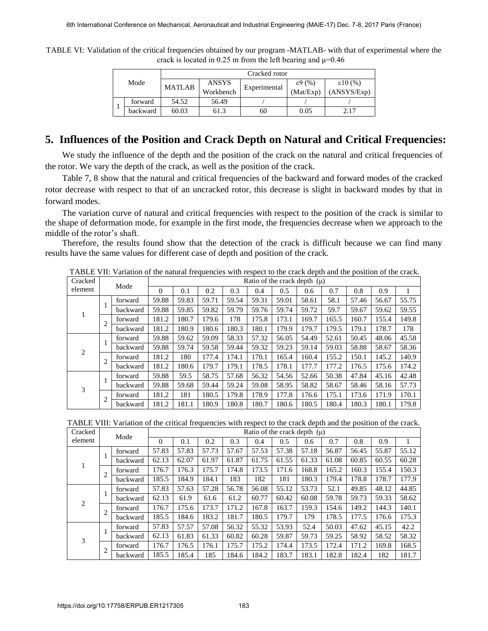TABLE VI: Validation of the critical frequencies obtained by our program -MATLAB- with that of experimental where the crack is located in 0.25 m from the left bearing and  $\mu$ =0.46

| Mode |          | Cracked rotor |                           |              |                               |                                  |  |  |  |  |
|------|----------|---------------|---------------------------|--------------|-------------------------------|----------------------------------|--|--|--|--|
|      |          | <b>MATLAB</b> | <b>ANSYS</b><br>Workbench | Experimental | $\epsilon$ 9 (%)<br>(Mat/Exp) | $\epsilon$ 10 (%)<br>(ANSYS/Exp) |  |  |  |  |
|      | forward  | 54.52         | 56.49                     |              |                               |                                  |  |  |  |  |
|      | backward | 60.03         | 61.3                      | 60           | 0.05                          | 2.17                             |  |  |  |  |

# **5. Influences of the Position and Crack Depth on Natural and Critical Frequencies:**

We study the influence of the depth and the position of the crack on the natural and critical frequencies of the rotor. We vary the depth of the crack, as well as the position of the crack.

Table 7, 8 show that the natural and critical frequencies of the backward and forward modes of the cracked rotor decrease with respect to that of an uncracked rotor, this decrease is slight in backward modes by that in forward modes.

The variation curve of natural and critical frequencies with respect to the position of the crack is similar to the shape of deformation mode, for example in the first mode, the frequencies decrease when we approach to the middle of the rotor's shaft.

Therefore, the results found show that the detection of the crack is difficult because we can find many results have the same values for different case of depth and position of the crack.

| Cracked | Mode           |          |          | Ratio of the crack depth $(\mu)$ |       |       |       |       |       |       |       |       |       |
|---------|----------------|----------|----------|----------------------------------|-------|-------|-------|-------|-------|-------|-------|-------|-------|
| element |                |          | $\Omega$ | 0.1                              | 0.2   | 0.3   | 0.4   | 0.5   | 0.6   | 0.7   | 0.8   | 0.9   |       |
|         |                | forward  | 59.88    | 59.83                            | 59.71 | 59.54 | 59.31 | 59.01 | 58.61 | 58.1  | 57.46 | 56.67 | 55.75 |
| 1       |                | backward | 59.88    | 59.85                            | 59.82 | 59.79 | 59.76 | 59.74 | 59.72 | 59.7  | 59.67 | 59.62 | 59.55 |
|         | $\overline{2}$ | forward  | 181.2    | 180.7                            | 179.6 | 178   | 175.8 | 173.1 | 169.7 | 165.5 | 160.7 | 155.4 | 149.8 |
|         |                | backward | 181.2    | 180.9                            | 180.6 | 180.3 | 180.1 | 179.9 | 179.7 | 179.5 | 179.1 | 178.7 | 178   |
|         |                | forward  | 59.88    | 59.62                            | 59.09 | 58.33 | 57.32 | 56.05 | 54.49 | 52.61 | 50.45 | 48.06 | 45.58 |
| 2       |                | backward | 59.88    | 59.74                            | 59.58 | 59.44 | 59.32 | 59.23 | 59.14 | 59.03 | 58.88 | 58.67 | 58.36 |
|         | $\overline{2}$ | forward  | 181.2    | 180                              | 177.4 | 174.1 | 170.1 | 165.4 | 160.4 | 155.2 | 150.1 | 145.2 | 140.9 |
|         |                | backward | 181.2    | 180.6                            | 179.7 | 179.1 | 178.5 | 178.1 | 177.7 | 177.2 | 176.5 | 175.6 | 174.2 |
|         |                | forward  | 59.88    | 59.5                             | 58.75 | 57.68 | 56.32 | 54.56 | 52.66 | 50.38 | 47.84 | 45.16 | 42.48 |
| 3       |                | backward | 59.88    | 59.68                            | 59.44 | 59.24 | 59.08 | 58.95 | 58.82 | 58.67 | 58.46 | 58.16 | 57.73 |
|         | $\overline{c}$ | forward  | 181.2    | 181                              | 180.5 | 179.8 | 178.9 | 177.8 | 176.6 | 175.1 | 173.6 | 171.9 | 170.1 |
|         |                | backward | 181.2    | 181.1                            | 180.9 | 180.8 | 180.7 | 180.6 | 180.5 | 180.4 | 180.3 | 180.1 | 179.8 |

TABLE VII: Variation of the natural frequencies with respect to the crack depth and the position of the crack.

TABLE VIII: Variation of the critical frequencies with respect to the crack depth and the position of the crack.

| Cracked | Mode           |          |       | Ratio of the crack depth $(\mu)$ |       |       |       |       |       |       |       |       |       |
|---------|----------------|----------|-------|----------------------------------|-------|-------|-------|-------|-------|-------|-------|-------|-------|
| element |                |          | 0     | 0.1                              | 0.2   | 0.3   | 0.4   | 0.5   | 0.6   | 0.7   | 0.8   | 0.9   |       |
|         |                | forward  | 57.83 | 57.83                            | 57.73 | 57.67 | 57.53 | 57.38 | 57.18 | 56.87 | 56.45 | 55.87 | 55.12 |
|         |                | backward | 62.13 | 62.07                            | 61.97 | 61.87 | 61.75 | 61.55 | 61.33 | 61.08 | 60.85 | 60.55 | 60.28 |
| Ŧ.      | $\overline{2}$ | forward  | 176.7 | 176.3                            | 175.7 | 174.8 | 173.5 | 171.6 | 168.8 | 165.2 | 160.3 | 155.4 | 150.3 |
|         |                | backward | 185.5 | 184.9                            | 184.1 | 183   | 182   | 181   | 180.3 | 179.4 | 178.8 | 178.7 | 177.9 |
|         | л.             | forward  | 57.83 | 57.63                            | 57.28 | 56.78 | 56.08 | 55.12 | 53.73 | 52.1  | 49.85 | 48.12 | 44.85 |
| 2       |                | backward | 62.13 | 61.9                             | 61.6  | 61.2  | 60.77 | 60.42 | 60.08 | 59.78 | 59.73 | 59.33 | 58.62 |
|         | $\overline{2}$ | forward  | 176.7 | 175.6                            | 173.7 | 171.2 | 167.8 | 163.7 | 159.3 | 154.6 | 149.2 | 144.3 | 140.1 |
|         |                | backward | 185.5 | 184.6                            | 183.2 | 181.7 | 180.5 | 179.7 | 179   | 178.5 | 177.5 | 176.6 | 175.3 |
|         |                | forward  | 57.83 | 57.57                            | 57.08 | 56.32 | 55.32 | 53.93 | 52.4  | 50.03 | 47.62 | 45.15 | 42.2  |
| 3       | л.             | backward | 62.13 | 61.83                            | 61.33 | 60.82 | 60.28 | 59.87 | 59.73 | 59.25 | 58.92 | 58.52 | 58.32 |
|         | $\overline{2}$ | forward  | 176.7 | 176.5                            | 176.1 | 175.7 | 175.2 | 174.4 | 173.5 | 172.4 | 171.2 | 169.8 | 168.5 |
|         |                | backward | 185.5 | 185.4                            | 185   | 184.6 | 184.2 | 183.7 | 183.1 | 182.8 | 182.4 | 182   | 181.7 |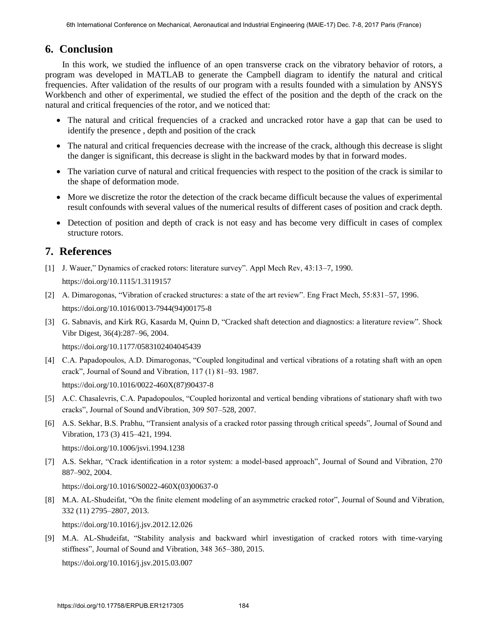### **6. Conclusion**

In this work, we studied the influence of an open transverse crack on the vibratory behavior of rotors, a program was developed in MATLAB to generate the Campbell diagram to identify the natural and critical frequencies. After validation of the results of our program with a results founded with a simulation by ANSYS Workbench and other of experimental, we studied the effect of the position and the depth of the crack on the natural and critical frequencies of the rotor, and we noticed that:

- The natural and critical frequencies of a cracked and uncracked rotor have a gap that can be used to identify the presence , depth and position of the crack
- The natural and critical frequencies decrease with the increase of the crack, although this decrease is slight the danger is significant, this decrease is slight in the backward modes by that in forward modes.
- The variation curve of natural and critical frequencies with respect to the position of the crack is similar to the shape of deformation mode.
- More we discretize the rotor the detection of the crack became difficult because the values of experimental result confounds with several values of the numerical results of different cases of position and crack depth.
- Detection of position and depth of crack is not easy and has become very difficult in cases of complex structure rotors.

# **7. References**

- [1] [J. Wauer," Dynamics of cracked rotors: literature survey". Appl Mech Rev, 43:13–7, 1990.](https://doi.org/10.1115/1.3119157)  https://doi.org/10.1115/1.3119157
- [2] [A. Dimarogonas, "Vibration of cracked structures: a state of the art review". Eng Fract Mech, 55:831–57, 1996.](https://doi.org/10.1016/0013-7944(94)00175-8)  https://doi.org/10.1016/0013-7944(94)00175-8
- [3] [G. Sabnavis, and Kirk RG, Kasarda M, Quinn D, "Cracked shaft detection and diagnostics: a literature review". Shock](https://doi.org/10.1177/0583102404045439)  [Vibr Digest, 36\(4\):287–96, 2004.](https://doi.org/10.1177/0583102404045439)

https://doi.org/10.1177/0583102404045439

[4] [C.A. Papadopoulos, A.D. Dimarogonas, "Coupled longitudinal and vertical vibrations of a rotating shaft with an open](https://doi.org/10.1016/0022-460X(87)90437-8)  [crack", Journal of Sound and Vibration, 117 \(1\) 81–93. 1987.](https://doi.org/10.1016/0022-460X(87)90437-8) 

https://doi.org/10.1016/0022-460X(87)90437-8

- [5] A.C. Chasalevris, C.A. Papadopoulos, "Coupled horizontal and vertical bending vibrations of stationary shaft with two cracks", Journal of Sound andVibration, 309 507–528, 2007.
- [6] [A.S. Sekhar, B.S. Prabhu, "Transient analysis of a cracked rotor passing through critical speeds", Journal of Sound and](https://doi.org/10.1006/jsvi.1994.1238)  [Vibration, 173 \(3\) 415–421, 1994.](https://doi.org/10.1006/jsvi.1994.1238)

https://doi.org/10.1006/jsvi.1994.1238

[7] [A.S. Sekhar, "Crack identification in a rotor system: a model-based approach", Journal of Sound and Vibration, 270](https://doi.org/10.1016/S0022-460X(03)00637-0)  [887–902, 2004.](https://doi.org/10.1016/S0022-460X(03)00637-0) 

https://doi.org/10.1016/S0022-460X(03)00637-0

[8] [M.A. AL-Shudeifat, "On the finite element modeling of an asymmetric cracked rotor", Journal of Sound and Vibration,](https://doi.org/10.1016/j.jsv.2012.12.026)  [332 \(11\) 2795–2807, 2013.](https://doi.org/10.1016/j.jsv.2012.12.026) 

https://doi.org/10.1016/j.jsv.2012.12.026

[9] [M.A. AL-Shudeifat, "Stability analysis and backward whirl investigation of cracked rotors with time-varying](https://doi.org/10.1016/j.jsv.2015.03.007)  [stiffness", Journal of Sound and Vibration, 348 365–380, 2015.](https://doi.org/10.1016/j.jsv.2015.03.007) 

https://doi.org/10.1016/j.jsv.2015.03.007